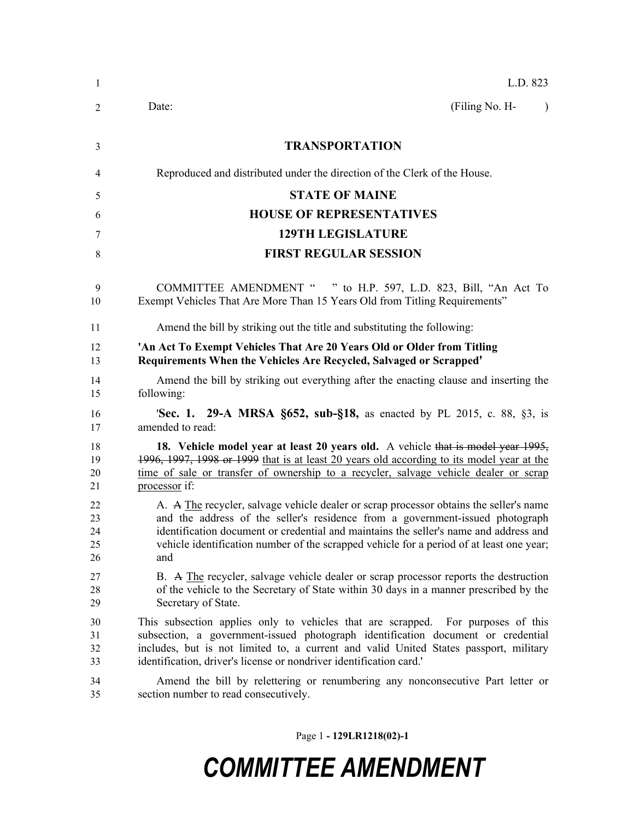| 1  | L.D. 823                                                                                  |
|----|-------------------------------------------------------------------------------------------|
| 2  | (Filing No. H-<br>Date:<br>$\lambda$                                                      |
| 3  | <b>TRANSPORTATION</b>                                                                     |
| 4  | Reproduced and distributed under the direction of the Clerk of the House.                 |
| 5  | <b>STATE OF MAINE</b>                                                                     |
| 6  | <b>HOUSE OF REPRESENTATIVES</b>                                                           |
| 7  | <b>129TH LEGISLATURE</b>                                                                  |
| 8  | <b>FIRST REGULAR SESSION</b>                                                              |
| 9  | COMMITTEE AMENDMENT " " to H.P. 597, L.D. 823, Bill, "An Act To                           |
| 10 | Exempt Vehicles That Are More Than 15 Years Old from Titling Requirements"                |
| 11 | Amend the bill by striking out the title and substituting the following:                  |
| 12 | 'An Act To Exempt Vehicles That Are 20 Years Old or Older from Titling                    |
| 13 | Requirements When the Vehicles Are Recycled, Salvaged or Scrapped'                        |
| 14 | Amend the bill by striking out everything after the enacting clause and inserting the     |
| 15 | following:                                                                                |
| 16 | <b>Sec. 1. 29-A MRSA §652, sub-§18,</b> as enacted by PL 2015, c. 88, §3, is              |
| 17 | amended to read:                                                                          |
| 18 | 18. Vehicle model year at least 20 years old. A vehicle that is model year 1995,          |
| 19 | 1996, 1997, 1998 or 1999 that is at least 20 years old according to its model year at the |
| 20 | time of sale or transfer of ownership to a recycler, salvage vehicle dealer or scrap      |
| 21 | processor if:                                                                             |
| 22 | A. A The recycler, salvage vehicle dealer or scrap processor obtains the seller's name    |
| 23 | and the address of the seller's residence from a government-issued photograph             |
| 24 | identification document or credential and maintains the seller's name and address and     |
| 25 | vehicle identification number of the scrapped vehicle for a period of at least one year;  |
| 26 | and                                                                                       |
| 27 | B. A The recycler, salvage vehicle dealer or scrap processor reports the destruction      |
| 28 | of the vehicle to the Secretary of State within 30 days in a manner prescribed by the     |
| 29 | Secretary of State.                                                                       |
| 30 | This subsection applies only to vehicles that are scrapped. For purposes of this          |
| 31 | subsection, a government-issued photograph identification document or credential          |
| 32 | includes, but is not limited to, a current and valid United States passport, military     |
| 33 | identification, driver's license or nondriver identification card.'                       |
| 34 | Amend the bill by relettering or renumbering any nonconsecutive Part letter or            |
| 35 | section number to read consecutively.                                                     |

Page 1 **- 129LR1218(02)-1**

## *COMMITTEE AMENDMENT*